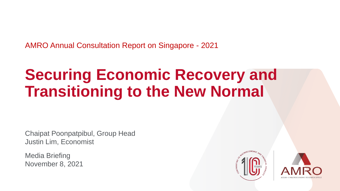AMRO Annual Consultation Report on Singapore - 2021

# **Securing Economic Recovery and Transitioning to the New Normal**

Chaipat Poonpatpibul, Group Head Justin Lim, Economist

Media Briefing November 8, 2021



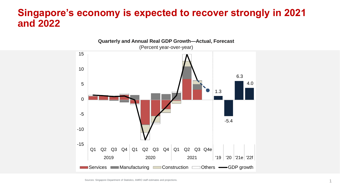#### **Singapore's economy is expected to recover strongly in 2021 and 2022**



Sources: Singapore Department of Statistics, AMRO staff estimates and projections.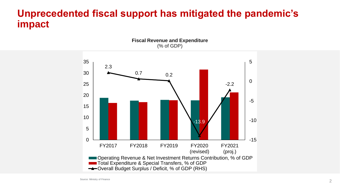# **Unprecedented fiscal support has mitigated the pandemic's impact**

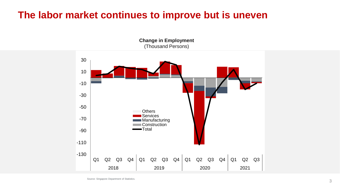# **The labor market continues to improve but is uneven**

**Change in Employment** (Thousand Persons)

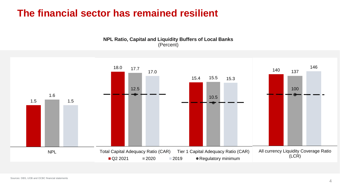# **The financial sector has remained resilient**



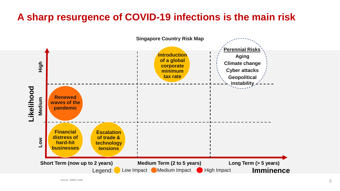# **A sharp resurgence of COVID-19 infections is the main risk**

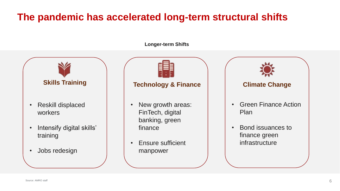# **The pandemic has accelerated long-term structural shifts**

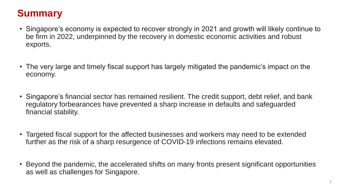# **Summary**

- Singapore's economy is expected to recover strongly in 2021 and growth will likely continue to be firm in 2022, underpinned by the recovery in domestic economic activities and robust exports.
- The very large and timely fiscal support has largely mitigated the pandemic's impact on the economy.
- Singapore's financial sector has remained resilient. The credit support, debt relief, and bank regulatory forbearances have prevented a sharp increase in defaults and safeguarded financial stability.
- Targeted fiscal support for the affected businesses and workers may need to be extended further as the risk of a sharp resurgence of COVID-19 infections remains elevated.
- Beyond the pandemic, the accelerated shifts on many fronts present significant opportunities as well as challenges for Singapore.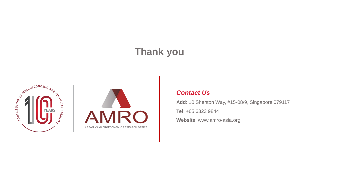# **Thank you**





#### *Contact Us*

**Add**: 10 Shenton Way, #15-08/9, Singapore 079117 **Tel**: +65 6323 9844 **Website**: www.amro-asia.org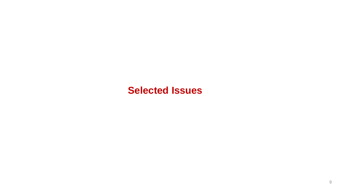#### **Selected Issues**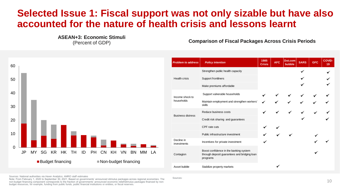# **Selected Issue 1: Fiscal support was not only sizable but have also accounted for the nature of health crisis and lessons learnt**

**ASEAN+3: Economic Stimuli**

(Percent of GDP) **Comparison of Fiscal Packages Across Crisis Periods** 



Sources: National authorities via Haver Analytics; AMRO staff estimates

Note: From February 1, 2020 to September 30, 2021. Based on governments' announced stimulus packages across regional economies. The non-budget financing component corresponds to the fraction of governments' announced economic relief/stimulus packages financed by nonbudget resources, for example, funding from public funds, public financial institutions or entities, or fiscal reserves.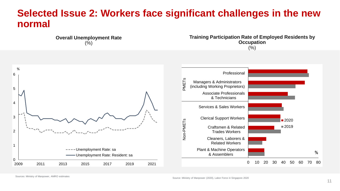#### **Selected Issue 2: Workers face significant challenges in the new normal**



**Training Participation Rate of Employed Residents by Occupation**  (%)